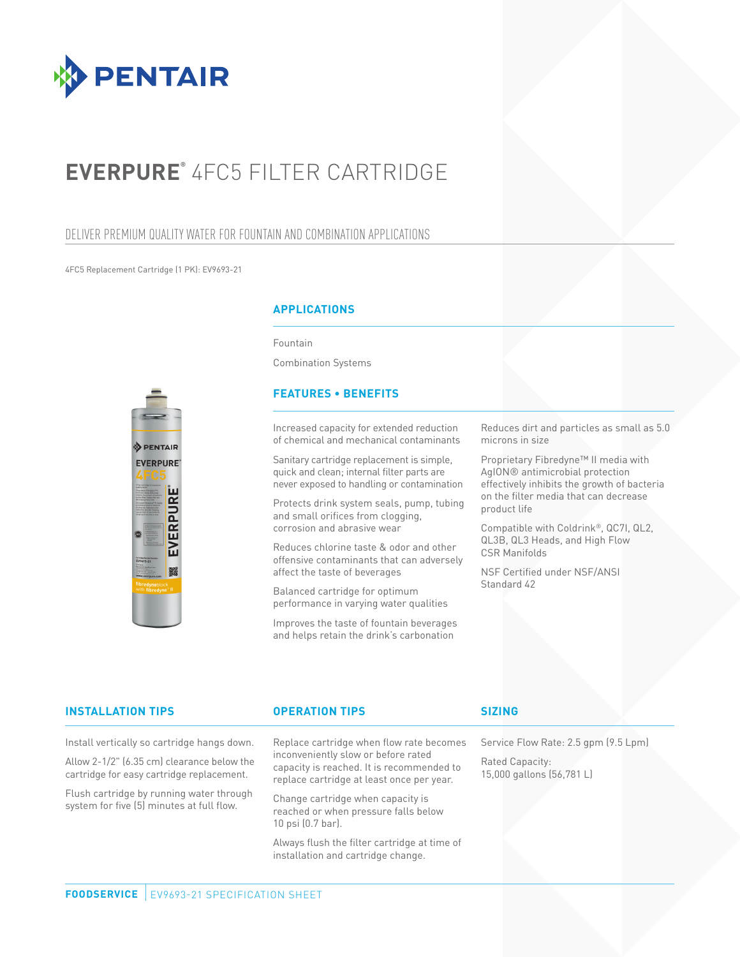

# **EVERPURE®** 4FC5 FILTER CARTRIDGE

## DELIVER PREMIUM QUALITY WATER FOR FOUNTAIN AND COMBINATION APPLICATIONS

4FC5 Replacement Cartridge (1 PK): EV9693-21



## **APPLICATIONS**

Fountain

Combination Systems

## **FEATURES • BENEFITS**

Increased capacity for extended reduction of chemical and mechanical contaminants

Sanitary cartridge replacement is simple, quick and clean; internal filter parts are never exposed to handling or contamination

Protects drink system seals, pump, tubing and small orifices from clogging, corrosion and abrasive wear

Reduces chlorine taste & odor and other offensive contaminants that can adversely affect the taste of beverages

Balanced cartridge for optimum performance in varying water qualities

Improves the taste of fountain beverages and helps retain the drink's carbonation

Reduces dirt and particles as small as 5.0 microns in size

Proprietary Fibredyne™ II media with AgION® antimicrobial protection effectively inhibits the growth of bacteria on the filter media that can decrease product life

Compatible with Coldrink®, QC7I, QL2, QL3B, QL3 Heads, and High Flow CSR Manifolds

NSF Certified under NSF/ANSI Standard 42

### **INSTALLATION TIPS OPERATION TIPS**

Install vertically so cartridge hangs down.

Allow 2-1/2" (6.35 cm) clearance below the cartridge for easy cartridge replacement.

Flush cartridge by running water through system for five (5) minutes at full flow.

Replace cartridge when flow rate becomes inconveniently slow or before rated capacity is reached. It is recommended to replace cartridge at least once per year.

Change cartridge when capacity is reached or when pressure falls below 10 psi (0.7 bar).

Always flush the filter cartridge at time of installation and cartridge change.

## **SIZING**

Service Flow Rate: 2.5 gpm (9.5 Lpm)

Rated Capacity: 15,000 gallons (56,781 L)